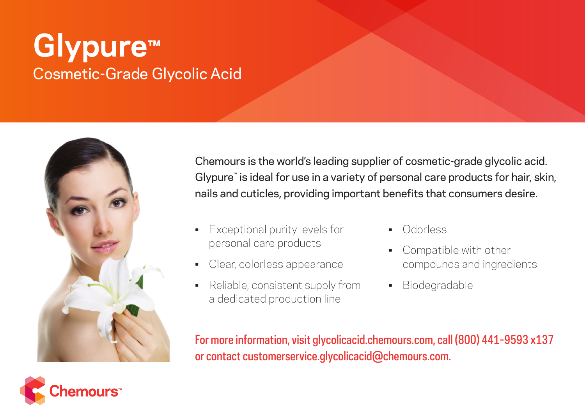# **Glypure™** Cosmetic-Grade Glycolic Acid



Chemours is the world's leading supplier of cosmetic-grade glycolic acid. Glypure™ is ideal for use in a variety of personal care products for hair, skin, nails and cuticles, providing important benefits that consumers desire.

- Exceptional purity levels for personal care products
- Clear, colorless appearance
- Reliable, consistent supply from a dedicated production line
- Odorless
- Compatible with other compounds and ingredients
- Biodegradable

For more information, visit glycolicacid.chemours.com, call (800) 441-9593 x137 or contact customerservice.glycolicacid@chemours.com.